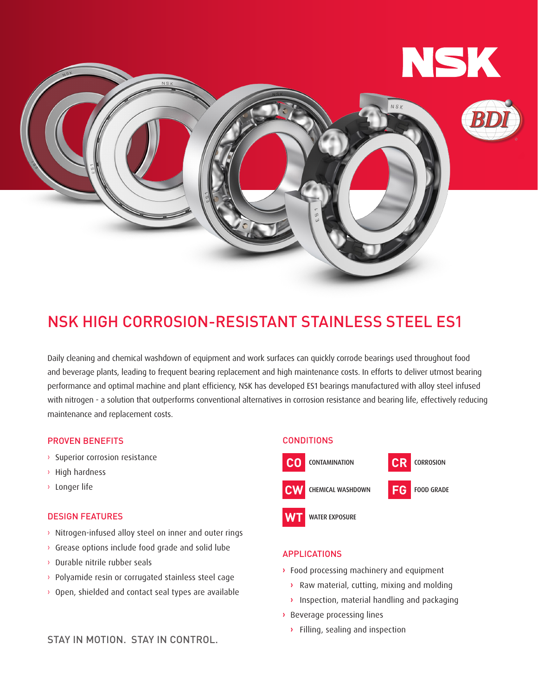

# NSK HIGH CORROSION-RESISTANT STAINLESS STEEL ES1

Daily cleaning and chemical washdown of equipment and work surfaces can quickly corrode bearings used throughout food and beverage plants, leading to frequent bearing replacement and high maintenance costs. In efforts to deliver utmost bearing performance and optimal machine and plant efficiency, NSK has developed ES1 bearings manufactured with alloy steel infused with nitrogen - a solution that outperforms conventional alternatives in corrosion resistance and bearing life, effectively reducing maintenance and replacement costs.

## PROVEN BENEFITS

- › Superior corrosion resistance
- › High hardness
- › Longer life

## DESIGN FEATURES

- › Nitrogen-infused alloy steel on inner and outer rings
- › Grease options include food grade and solid lube
- › Durable nitrile rubber seals
- › Polyamide resin or corrugated stainless steel cage
- › Open, shielded and contact seal types are available

# **CONDITIONS**





**FOOD GRADE** 

**WATER EXPOSURE** 



## APPLICATIONS

- **›** Food processing machinery and equipment
	- **›** Raw material, cutting, mixing and molding
	- **›** Inspection, material handling and packaging
- **›** Beverage processing lines
	- **›** Filling, sealing and inspection

STAY IN MOTION. STAY IN CONTROL.